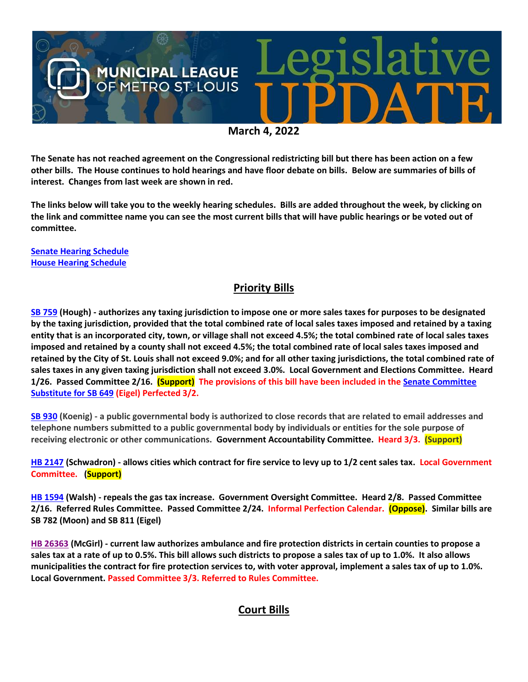

**The Senate has not reached agreement on the Congressional redistricting bill but there has been action on a few other bills. The House continues to hold hearings and have floor debate on bills. Below are summaries of bills of interest. Changes from last week are shown in red.**

**The links below will take you to the weekly hearing schedules. Bills are added throughout the week, by clicking on the link and committee name you can see the most current bills that will have public hearings or be voted out of committee.**

**[Senate Hearing Schedule](https://www.senate.mo.gov/hearingsschedule/hrings.htm) [House Hearing Schedule](https://www.house.mo.gov/AllHearings.aspx?sdid=01182022)** 

# **Priority Bills**

**[SB 759](https://www.senate.mo.gov/22info/BTS_Web/Bill.aspx?SessionType=R&BillID=71259645) (Hough) - authorizes any taxing jurisdiction to impose one or more sales taxes for purposes to be designated by the taxing jurisdiction, provided that the total combined rate of local sales taxes imposed and retained by a taxing entity that is an incorporated city, town, or village shall not exceed 4.5%; the total combined rate of local sales taxes imposed and retained by a county shall not exceed 4.5%; the total combined rate of local sales taxes imposed and retained by the City of St. Louis shall not exceed 9.0%; and for all other taxing jurisdictions, the total combined rate of sales taxes in any given taxing jurisdiction shall not exceed 3.0%. Local Government and Elections Committee. Heard 1/26. Passed Committee 2/16. (Support) The provisions of this bill have been included in th[e Senate Committee](https://www.senate.mo.gov/22info/BTS_Web/Bill.aspx?SessionType=R&BillID=71259737)  [Substitute for SB 649](https://www.senate.mo.gov/22info/BTS_Web/Bill.aspx?SessionType=R&BillID=71259737) (Eigel) Perfected 3/2.**

**[SB 930](https://www.senate.mo.gov/22info/BTS_Web/Bill.aspx?SessionType=R&BillID=71259916) (Koenig) - a public governmental body is authorized to close records that are related to email addresses and telephone numbers submitted to a public governmental body by individuals or entities for the sole purpose of receiving electronic or other communications. Government Accountability Committee. Heard 3/3. (Support)**

**[HB 2147](https://house.mo.gov/Bill.aspx?bill=HB2147&year=2022&code=R) (Schwadron) - allows cities which contract for fire service to levy up to 1/2 cent sales tax. Local Government Committee. (Support)**

**[HB 1594](https://house.mo.gov/Bill.aspx?bill=HB1594&year=2022&code=R) (Walsh) - repeals the gas tax increase. Government Oversight Committee. Heard 2/8. Passed Committee 2/16. Referred Rules Committee. Passed Committee 2/24. Informal Perfection Calendar. (Oppose). Similar bills are SB 782 (Moon) and SB 811 (Eigel)**

**[HB 26363](https://www.house.mo.gov/bill.aspx?bill=HB2363&year=2022&code=R) (McGirl) - current law authorizes ambulance and fire protection districts in certain counties to propose a sales tax at a rate of up to 0.5%. This bill allows such districts to propose a sales tax of up to 1.0%. It also allows municipalities the contract for fire protection services to, with voter approval, implement a sales tax of up to 1.0%. Local Government. Passed Committee 3/3. Referred to Rules Committee.**

## **Court Bills**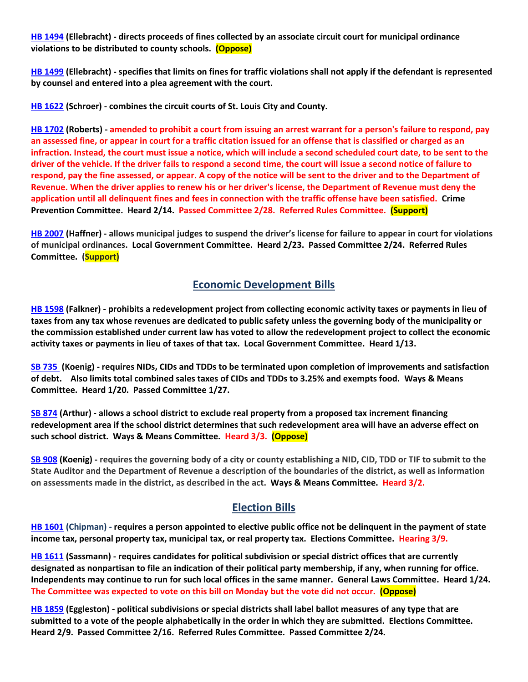**[HB 1494](https://house.mo.gov/Bill.aspx?bill=HB1494&year=2022&code=R) (Ellebracht) - directs proceeds of fines collected by an associate circuit court for municipal ordinance violations to be distributed to county schools. (Oppose)**

**[HB 1499](https://house.mo.gov/Bill.aspx?bill=HB1499&year=2022&code=R) (Ellebracht) - specifies that limits on fines for traffic violations shall not apply if the defendant is represented by counsel and entered into a plea agreement with the court.**

**[HB 1622](https://house.mo.gov/Bill.aspx?bill=HB1622&year=2022&code=R) (Schroer) - combines the circuit courts of St. Louis City and County.**

**HB [1702](https://house.mo.gov/Bill.aspx?bill=HB1702&year=2022&code=R) (Roberts) - amended to prohibit a court from issuing an arrest warrant for a person's failure to respond, pay an assessed fine, or appear in court for a traffic citation issued for an offense that is classified or charged as an infraction. Instead, the court must issue a notice, which will include a second scheduled court date, to be sent to the driver of the vehicle. If the driver fails to respond a second time, the court will issue a second notice of failure to respond, pay the fine assessed, or appear. A copy of the notice will be sent to the driver and to the Department of Revenue. When the driver applies to renew his or her driver's license, the Department of Revenue must deny the application until all delinquent fines and fees in connection with the traffic offense have been satisfied. Crime Prevention Committee. Heard 2/14. Passed Committee 2/28. Referred Rules Committee. (Support)** 

**[HB 2007](https://house.mo.gov/Bill.aspx?bill=HB2007&year=2022&code=R) (Haffner) - allows municipal judges to suspend the driver's license for failure to appear in court for violations of municipal ordinances. Local Government Committee. Heard 2/23. Passed Committee 2/24. Referred Rules Committee. (Support)**

### **Economic Development Bills**

**[HB 1598](https://house.mo.gov/Bill.aspx?bill=HB1598&year=2022&code=R) (Falkner) - prohibits a redevelopment project from collecting economic activity taxes or payments in lieu of taxes from any tax whose revenues are dedicated to public safety unless the governing body of the municipality or the commission established under current law has voted to allow the redevelopment project to collect the economic activity taxes or payments in lieu of taxes of that tax. Local Government Committee. Heard 1/13.**

**[SB 735](https://www.senate.mo.gov/22info/BTS_Web/Bill.aspx?SessionType=R&BillID=71259902%20%20) (Koenig) - requires NIDs, CIDs and TDDs to be terminated upon completion of improvements and satisfaction of debt. Also limits total combined sales taxes of CIDs and TDDs to 3.25% and exempts food. Ways & Means Committee. Heard 1/20. Passed Committee 1/27.**

**[SB 874](https://www.senate.mo.gov/22info/BTS_Web/Bill.aspx?SessionType=R&BillID=71259609) (Arthur) - allows a school district to exclude real property from a proposed tax increment financing redevelopment area if the school district determines that such redevelopment area will have an adverse effect on such school district. Ways & Means Committee. Heard 3/3. (Oppose)**

**[SB 908](https://www.senate.mo.gov/22info/BTS_Web/Bill.aspx?SessionType=R&BillID=71259913) (Koenig) - requires the governing body of a city or county establishing a NID, CID, TDD or TIF to submit to the State Auditor and the Department of Revenue a description of the boundaries of the district, as well as information on assessments made in the district, as described in the act. Ways & Means Committee. Heard 3/2.**

## **Election Bills**

**[HB 1601](https://house.mo.gov/Bill.aspx?bill=HB1601&year=2022&code=R) (Chipman) - requires a person appointed to elective public office not be delinquent in the payment of state income tax, personal property tax, municipal tax, or real property tax. Elections Committee. Hearing 3/9.**

**HB [1611](https://house.mo.gov/Bill.aspx?bill=HB1611&year=2022&code=R) (Sassmann) - requires candidates for political subdivision or special district offices that are currently designated as nonpartisan to file an indication of their political party membership, if any, when running for office. Independents may continue to run for such local offices in the same manner. General Laws Committee. Heard 1/24. The Committee was expected to vote on this bill on Monday but the vote did not occur. (Oppose)**

**[HB 1859](https://house.mo.gov/Bill.aspx?bill=HB1859&year=2022&code=R) (Eggleston) - political subdivisions or special districts shall label ballot measures of any type that are submitted to a vote of the people alphabetically in the order in which they are submitted. Elections Committee. Heard 2/9. Passed Committee 2/16. Referred Rules Committee. Passed Committee 2/24.**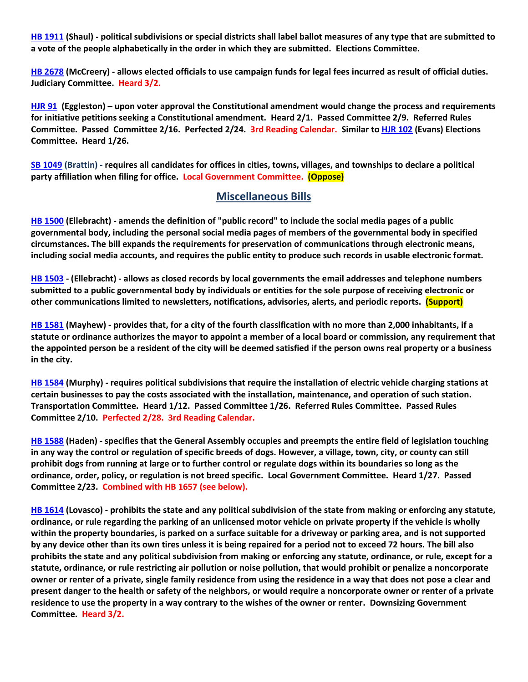**[HB 1911](https://house.mo.gov/Bill.aspx?bill=HB1911&year=2022&code=R) (Shaul) - political subdivisions or special districts shall label ballot measures of any type that are submitted to a vote of the people alphabetically in the order in which they are submitted. Elections Committee.**

**[HB 2678](https://www.house.mo.gov/Bill.aspx?bill=HB2678&year=2022&code=R) (McCreery) - allows elected officials to use campaign funds for legal fees incurred as result of official duties. Judiciary Committee. Heard 3/2.**

**[HJR 91](https://www.house.mo.gov/Bill.aspx?bill=HJR91&year=2022&code=R) [\(Eggleston\)](https://www.house.mo.gov/MemberDetails.aspx?year=2022&district=2) – upon voter approval the Constitutional amendment would change the process and requirements for initiative petitions seeking a Constitutional amendment. Heard 2/1. Passed Committee 2/9. Referred Rules Committee. Passed Committee 2/16. Perfected 2/24. 3rd Reading Calendar. Similar t[o HJR 102](https://www.house.mo.gov/Bill.aspx?bill=HJR102&year=2022&code=R) (Evans) Elections Committee. Heard 1/26.**

**[SB 1049](https://www.senate.mo.gov/22info/BTS_Web/Bill.aspx?SessionType=R&BillID=73129349) (Brattin) - requires all candidates for offices in cities, towns, villages, and townships to declare a political party affiliation when filing for office. Local Government Committee. (Oppose)**

### **Miscellaneous Bills**

**[HB 1500](https://house.mo.gov/Bill.aspx?bill=HB1500&year=2022&code=R) (Ellebracht) - amends the definition of "public record" to include the social media pages of a public governmental body, including the personal social media pages of members of the governmental body in specified circumstances. The bill expands the requirements for preservation of communications through electronic means, including social media accounts, and requires the public entity to produce such records in usable electronic format.**

**[HB 1503](https://house.mo.gov/Bill.aspx?bill=HB1503&year=2022&code=R) - (Ellebracht) - allows as closed records by local governments the email addresses and telephone numbers submitted to a public governmental body by individuals or entities for the sole purpose of receiving electronic or other communications limited to newsletters, notifications, advisories, alerts, and periodic reports. (Support)**

**[HB 1581](https://house.mo.gov/Bill.aspx?bill=HB1581&year=2022&code=R) (Mayhew) - provides that, for a city of the fourth classification with no more than 2,000 inhabitants, if a statute or ordinance authorizes the mayor to appoint a member of a local board or commission, any requirement that the appointed person be a resident of the city will be deemed satisfied if the person owns real property or a business in the city.**

**[HB 1584](https://house.mo.gov/Bill.aspx?bill=HB1584&year=2022&code=R) (Murphy) - requires political subdivisions that require the installation of electric vehicle charging stations at certain businesses to pay the costs associated with the installation, maintenance, and operation of such station. Transportation Committee. Heard 1/12. Passed Committee 1/26. Referred Rules Committee. Passed Rules Committee 2/10. Perfected 2/28. 3rd Reading Calendar.**

**[HB 1588](https://house.mo.gov/Bill.aspx?bill=HB1588&year=2022&code=R) (Haden) - specifies that the General Assembly occupies and preempts the entire field of legislation touching in any way the control or regulation of specific breeds of dogs. However, a village, town, city, or county can still prohibit dogs from running at large or to further control or regulate dogs within its boundaries so long as the ordinance, order, policy, or regulation is not breed specific. Local Government Committee. Heard 1/27. Passed Committee 2/23. Combined with HB 1657 (see below).**

**[HB 1614](https://house.mo.gov/Bill.aspx?bill=HB1614&year=2022&code=R) (Lovasco) - prohibits the state and any political subdivision of the state from making or enforcing any statute, ordinance, or rule regarding the parking of an unlicensed motor vehicle on private property if the vehicle is wholly within the property boundaries, is parked on a surface suitable for a driveway or parking area, and is not supported by any device other than its own tires unless it is being repaired for a period not to exceed 72 hours. The bill also prohibits the state and any political subdivision from making or enforcing any statute, ordinance, or rule, except for a statute, ordinance, or rule restricting air pollution or noise pollution, that would prohibit or penalize a noncorporate owner or renter of a private, single family residence from using the residence in a way that does not pose a clear and present danger to the health or safety of the neighbors, or would require a noncorporate owner or renter of a private residence to use the property in a way contrary to the wishes of the owner or renter. Downsizing Government Committee. Heard 3/2.**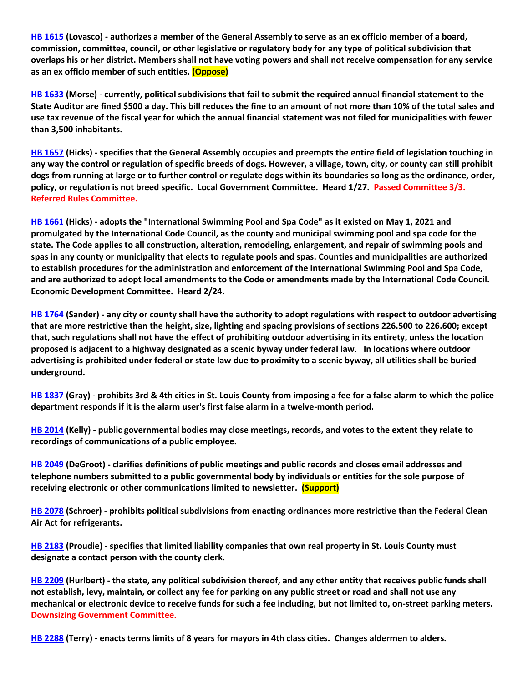**[HB 1615](https://house.mo.gov/Bill.aspx?bill=HB1615&year=2022&code=R) (Lovasco) - authorizes a member of the General Assembly to serve as an ex officio member of a board, commission, committee, council, or other legislative or regulatory body for any type of political subdivision that overlaps his or her district. Members shall not have voting powers and shall not receive compensation for any service as an ex officio member of such entities. (Oppose)**

**[HB 1633](https://house.mo.gov/Bill.aspx?bill=HB1633&year=2022&code=R) (Morse) - currently, political subdivisions that fail to submit the required annual financial statement to the State Auditor are fined \$500 a day. This bill reduces the fine to an amount of not more than 10% of the total sales and use tax revenue of the fiscal year for which the annual financial statement was not filed for municipalities with fewer than 3,500 inhabitants.**

**[HB 1657](https://house.mo.gov/Bill.aspx?bill=HB1657&year=2022&code=R) (Hicks) - specifies that the General Assembly occupies and preempts the entire field of legislation touching in any way the control or regulation of specific breeds of dogs. However, a village, town, city, or county can still prohibit dogs from running at large or to further control or regulate dogs within its boundaries so long as the ordinance, order, policy, or regulation is not breed specific. Local Government Committee. Heard 1/27. Passed Committee 3/3. Referred Rules Committee.**

**[HB 1661](https://house.mo.gov/Bill.aspx?bill=HB1661&year=2022&code=R) (Hicks) - adopts the "International Swimming Pool and Spa Code" as it existed on May 1, 2021 and promulgated by the International Code Council, as the county and municipal swimming pool and spa code for the state. The Code applies to all construction, alteration, remodeling, enlargement, and repair of swimming pools and spas in any county or municipality that elects to regulate pools and spas. Counties and municipalities are authorized to establish procedures for the administration and enforcement of the International Swimming Pool and Spa Code, and are authorized to adopt local amendments to the Code or amendments made by the International Code Council. Economic Development Committee. Heard 2/24.**

**[HB 1764](https://house.mo.gov/Bill.aspx?bill=HB1764&year=2022&code=R) (Sander) - any city or county shall have the authority to adopt regulations with respect to outdoor advertising that are more restrictive than the height, size, lighting and spacing provisions of sections 226.500 to 226.600; except that, such regulations shall not have the effect of prohibiting outdoor advertising in its entirety, unless the location proposed is adjacent to a highway designated as a scenic byway under federal law. In locations where outdoor advertising is prohibited under federal or state law due to proximity to a scenic byway, all utilities shall be buried underground.**

**[HB 1837](https://house.mo.gov/Bill.aspx?bill=HB1837&year=2022&code=R) (Gray) - prohibits 3rd & 4th cities in St. Louis County from imposing a fee for a false alarm to which the police department responds if it is the alarm user's first false alarm in a twelve-month period.**

**[HB 2014](https://house.mo.gov/Bill.aspx?bill=HB2014&year=2022&code=R) (Kelly) - public governmental bodies may close meetings, records, and votes to the extent they relate to recordings of communications of a public employee.**

**[HB 2049](https://house.mo.gov/Bill.aspx?bill=HB2049&year=2022&code=R) (DeGroot) - clarifies definitions of public meetings and public records and closes email addresses and telephone numbers submitted to a public governmental body by individuals or entities for the sole purpose of receiving electronic or other communications limited to newsletter. (Support)**

**[HB 2078](https://www.house.mo.gov/Bill.aspx?bill=HB2078&year=2022&code=R) (Schroer) - prohibits political subdivisions from enacting ordinances more restrictive than the Federal Clean Air Act for refrigerants.**

**[HB 2183](https://house.mo.gov/Bill.aspx?bill=HB2183&year=2022&code=R) (Proudie) - specifies that limited liability companies that own real property in St. Louis County must designate a contact person with the county clerk.**

**[HB 2209](https://house.mo.gov/Bill.aspx?bill=HB2209&year=2022&code=R) (Hurlbert) - the state, any political subdivision thereof, and any other entity that receives public funds shall not establish, levy, maintain, or collect any fee for parking on any public street or road and shall not use any mechanical or electronic device to receive funds for such a fee including, but not limited to, on-street parking meters. Downsizing Government Committee.**

**[HB 2288](https://www.house.mo.gov/Bill.aspx?bill=HB2288&year=2022&code=R) (Terry) - enacts terms limits of 8 years for mayors in 4th class cities. Changes aldermen to alders.**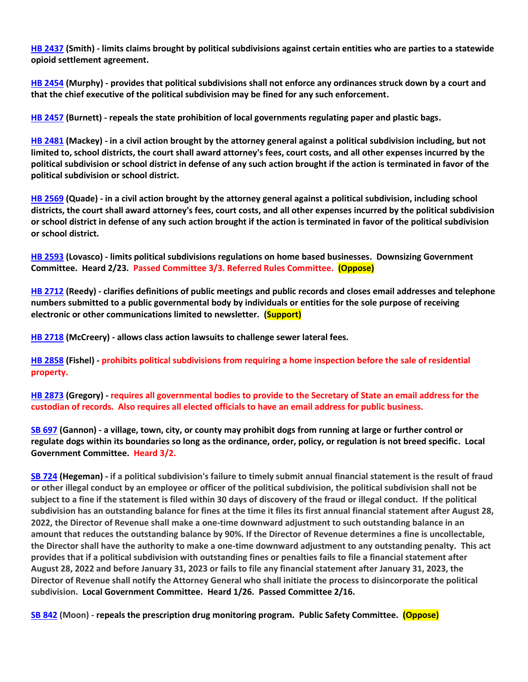**[HB 2437](https://house.mo.gov/Bill.aspx?bill=HB2437&year=2022&code=R) (Smith) - limits claims brought by political subdivisions against certain entities who are parties to a statewide opioid settlement agreement.**

**[HB 2454](https://house.mo.gov/Bill.aspx?bill=HB2454&year=2022&code=R) (Murphy) - provides that political subdivisions shall not enforce any ordinances struck down by a court and that the chief executive of the political subdivision may be fined for any such enforcement.**

**[HB 2457](https://house.mo.gov/Bill.aspx?bill=HB2457&year=2022&code=R) (Burnett) - repeals the state prohibition of local governments regulating paper and plastic bags.**

**[HB 2481](https://house.mo.gov/Bill.aspx?bill=HB2481&year=2022&code=R) (Mackey) - in a civil action brought by the attorney general against a political subdivision including, but not limited to, school districts, the court shall award attorney's fees, court costs, and all other expenses incurred by the political subdivision or school district in defense of any such action brought if the action is terminated in favor of the political subdivision or school district.**

**[HB 2569](https://www.house.mo.gov/Bill.aspx?bill=HB2569&year=2022&code=R) (Quade) - in a civil action brought by the attorney general against a political subdivision, including school districts, the court shall award attorney's fees, court costs, and all other expenses incurred by the political subdivision or school district in defense of any such action brought if the action is terminated in favor of the political subdivision or school district.**

**[HB 2593](https://www.house.mo.gov/Bill.aspx?bill=HB2593&year=2022&code=R) (Lovasco) - limits political subdivisions regulations on home based businesses. Downsizing Government Committee. Heard 2/23. Passed Committee 3/3. Referred Rules Committee. (Oppose)**

**[HB 2712](https://www.house.mo.gov/Bill.aspx?bill=HB2712&year=2022&code=R) (Reedy) - clarifies definitions of public meetings and public records and closes email addresses and telephone numbers submitted to a public governmental body by individuals or entities for the sole purpose of receiving electronic or other communications limited to newsletter. (Support)**

**[HB 2718](https://www.house.mo.gov/Bill.aspx?bill=HB2718&year=2022&code=R) (McCreery) - allows class action lawsuits to challenge sewer lateral fees.**

**[HB 2858](https://www.house.mo.gov/Bill.aspx?bill=HB2858&year=2022&code=R) (Fishel) - prohibits political subdivisions from requiring a home inspection before the sale of residential property.**

**[HB 2873](https://www.house.mo.gov/Bill.aspx?bill=HB2873&year=2022&code=R) (Gregory) - requires all governmental bodies to provide to the Secretary of State an email address for the custodian of records. Also requires all elected officials to have an email address for public business.**

**[SB 697](https://www.senate.mo.gov/22info/BTS_Web/Bill.aspx?SessionType=R&BillID=71259741) (Gannon) - a village, town, city, or county may prohibit dogs from running at large or further control or regulate dogs within its boundaries so long as the ordinance, order, policy, or regulation is not breed specific. Local Government Committee. Heard 3/2.**

**[SB 724](https://www.senate.mo.gov/22info/BTS_Web/Bill.aspx?SessionType=R&BillID=71259818) (Hegeman) - if a political subdivision's failure to timely submit annual financial statement is the result of fraud or other illegal conduct by an employee or officer of the political subdivision, the political subdivision shall not be subject to a fine if the statement is filed within 30 days of discovery of the fraud or illegal conduct. If the political subdivision has an outstanding balance for fines at the time it files its first annual financial statement after August 28, 2022, the Director of Revenue shall make a one-time downward adjustment to such outstanding balance in an amount that reduces the outstanding balance by 90%. If the Director of Revenue determines a fine is uncollectable, the Director shall have the authority to make a one-time downward adjustment to any outstanding penalty. This act provides that if a political subdivision with outstanding fines or penalties fails to file a financial statement after August 28, 2022 and before January 31, 2023 or fails to file any financial statement after January 31, 2023, the Director of Revenue shall notify the Attorney General who shall initiate the process to disincorporate the political subdivision. Local Government Committee. Heard 1/26. Passed Committee 2/16.**

**SB [842](https://www.senate.mo.gov/22info/BTS_Web/Bill.aspx?SessionType=R&BillID=71259877) (Moon) - repeals the prescription drug monitoring program. Public Safety Committee. (Oppose)**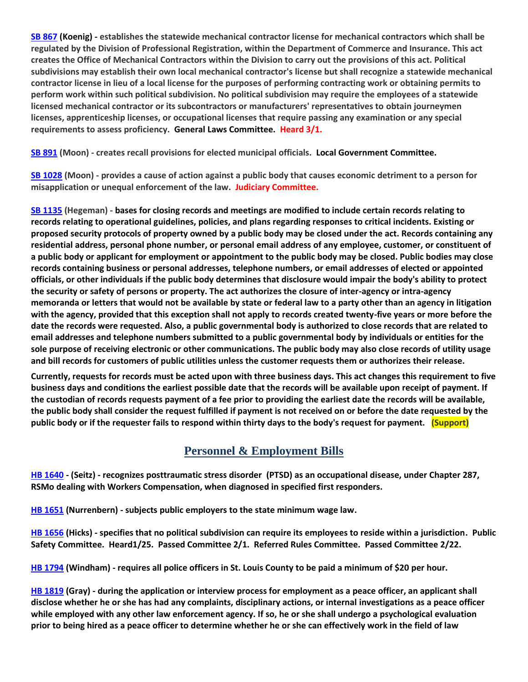**[SB 867](https://www.senate.mo.gov/22info/BTS_Web/Bill.aspx?SessionType=R&BillID=71259909) (Koenig) - establishes the statewide mechanical contractor license for mechanical contractors which shall be regulated by the Division of Professional Registration, within the Department of Commerce and Insurance. This act creates the Office of Mechanical Contractors within the Division to carry out the provisions of this act. Political subdivisions may establish their own local mechanical contractor's license but shall recognize a statewide mechanical contractor license in lieu of a local license for the purposes of performing contracting work or obtaining permits to perform work within such political subdivision. No political subdivision may require the employees of a statewide licensed mechanical contractor or its subcontractors or manufacturers' representatives to obtain journeymen licenses, apprenticeship licenses, or occupational licenses that require passing any examination or any special requirements to assess proficiency. General Laws Committee. Heard 3/1.**

**[SB 891](https://www.senate.mo.gov/22info/BTS_Web/Bill.aspx?SessionType=R&BillID=71259885) (Moon) - creates recall provisions for elected municipal officials. Local Government Committee.**

**[SB 1028](https://www.senate.mo.gov/22info/BTS_Web/Bill.aspx?SessionType=R&BillID=72748795) (Moon) - provides a cause of action against a public body that causes economic detriment to a person for misapplication or unequal enforcement of the law. Judiciary Committee.**

**[SB 1135](https://www.senate.mo.gov/22info/BTS_Web/Bill.aspx?SessionType=R&BillID=75554857) (Hegeman) - bases for closing records and meetings are modified to include certain records relating to records relating to operational guidelines, policies, and plans regarding responses to critical incidents. Existing or proposed security protocols of property owned by a public body may be closed under the act. Records containing any residential address, personal phone number, or personal email address of any employee, customer, or constituent of a public body or applicant for employment or appointment to the public body may be closed. Public bodies may close records containing business or personal addresses, telephone numbers, or email addresses of elected or appointed officials, or other individuals if the public body determines that disclosure would impair the body's ability to protect the security or safety of persons or property. The act authorizes the closure of inter-agency or intra-agency memoranda or letters that would not be available by state or federal law to a party other than an agency in litigation with the agency, provided that this exception shall not apply to records created twenty-five years or more before the date the records were requested. Also, a public governmental body is authorized to close records that are related to email addresses and telephone numbers submitted to a public governmental body by individuals or entities for the sole purpose of receiving electronic or other communications. The public body may also close records of utility usage and bill records for customers of public utilities unless the customer requests them or authorizes their release.**

**Currently, requests for records must be acted upon with three business days. This act changes this requirement to five business days and conditions the earliest possible date that the records will be available upon receipt of payment. If the custodian of records requests payment of a fee prior to providing the earliest date the records will be available, the public body shall consider the request fulfilled if payment is not received on or before the date requested by the public body or if the requester fails to respond within thirty days to the body's request for payment. (Support)**

# **Personnel & Employment Bills**

**[HB 1640](https://house.mo.gov/Bill.aspx?bill=HB1640&year=2022&code=R) - (Seitz) - recognizes posttraumatic stress disorder (PTSD) as an occupational disease, under Chapter 287, RSMo dealing with Workers Compensation, when diagnosed in specified first responders.**

**[HB 1651](https://house.mo.gov/Bill.aspx?bill=HB1651&year=2022&code=R) (Nurrenbern) - subjects public employers to the state minimum wage law.**

**[HB 1656](https://house.mo.gov/Bill.aspx?bill=HB1656&year=2022&code=R) (Hicks) - specifies that no political subdivision can require its employees to reside within a jurisdiction. Public Safety Committee. Heard1/25. Passed Committee 2/1. Referred Rules Committee. Passed Committee 2/22.**

**[HB 1794](https://house.mo.gov/Bill.aspx?bill=HB1794&year=2022&code=R) (Windham) - requires all police officers in St. Louis County to be paid a minimum of \$20 per hour.**

**[HB 1819](https://house.mo.gov/Bill.aspx?bill=HB1819&year=2022&code=R) (Gray) - during the application or interview process for employment as a peace officer, an applicant shall disclose whether he or she has had any complaints, disciplinary actions, or internal investigations as a peace officer while employed with any other law enforcement agency. If so, he or she shall undergo a psychological evaluation prior to being hired as a peace officer to determine whether he or she can effectively work in the field of law**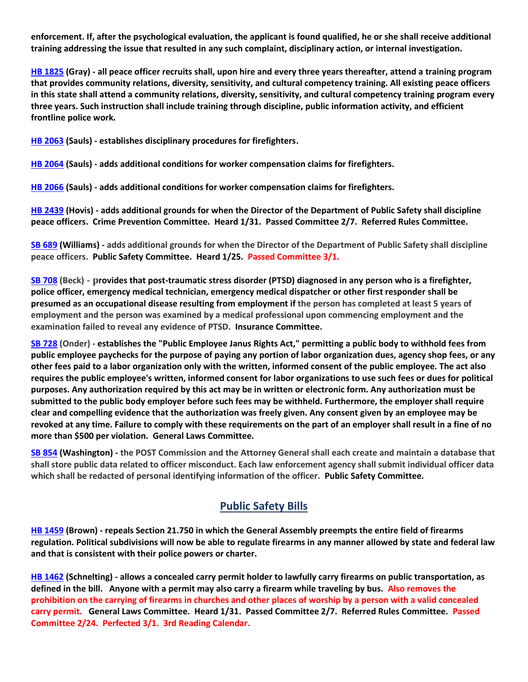**enforcement. If, after the psychological evaluation, the applicant is found qualified, he or she shall receive additional training addressing the issue that resulted in any such complaint, disciplinary action, or internal investigation.**

**[HB 1825](https://house.mo.gov/Bill.aspx?bill=HB1825&year=2022&code=R) (Gray) - all peace officer recruits shall, upon hire and every three years thereafter, attend a training program that provides community relations, diversity, sensitivity, and cultural competency training. All existing peace officers in this state shall attend a community relations, diversity, sensitivity, and cultural competency training program every three years. Such instruction shall include training through discipline, public information activity, and efficient frontline police work.**

**[HB 2063](https://house.mo.gov/Bill.aspx?bill=HB2063&year=2022&code=R) (Sauls) - establishes disciplinary procedures for firefighters.**

**[HB 2064](https://house.mo.gov/Bill.aspx?bill=HB2064&year=2022&code=R) (Sauls) - adds additional conditions for worker compensation claims for firefighters.** 

**[HB 2066](https://house.mo.gov/Bill.aspx?bill=HB2066&year=2022&code=R) (Sauls) - adds additional conditions for worker compensation claims for firefighters.**

**[HB 2439](https://house.mo.gov/Bill.aspx?bill=HB2439&year=2022&code=R) (Hovis) - adds additional grounds for when the Director of the Department of Public Safety shall discipline peace officers. Crime Prevention Committee. Heard 1/31. Passed Committee 2/7. Referred Rules Committee.**

**[SB 689](https://www.senate.mo.gov/22info/BTS_Web/Bill.aspx?SessionType=R&BillID=71259715) (Williams) - adds additional grounds for when the Director of the Department of Public Safety shall discipline peace officers. Public Safety Committee. Heard 1/25. Passed Committee 3/1.**

**[SB 708](https://www.senate.mo.gov/22info/BTS_Web/Bill.aspx?SessionType=R&BillID=71259735) (Beck) - provides that post-traumatic stress disorder (PTSD) diagnosed in any person who is a firefighter, police officer, emergency medical technician, emergency medical dispatcher or other first responder shall be presumed as an occupational disease resulting from employment if the person has completed at least 5 years of employment and the person was examined by a medical professional upon commencing employment and the examination failed to reveal any evidence of PTSD. Insurance Committee.**

**[SB 728](https://www.senate.mo.gov/22info/BTS_Web/Bill.aspx?SessionType=R&BillID=71259712) (Onder) - establishes the "Public Employee Janus Rights Act," permitting a public body to withhold fees from public employee paychecks for the purpose of paying any portion of labor organization dues, agency shop fees, or any other fees paid to a labor organization only with the written, informed consent of the public employee. The act also requires the public employee's written, informed consent for labor organizations to use such fees or dues for political purposes. Any authorization required by this act may be in written or electronic form. Any authorization must be submitted to the public body employer before such fees may be withheld. Furthermore, the employer shall require clear and compelling evidence that the authorization was freely given. Any consent given by an employee may be revoked at any time. Failure to comply with these requirements on the part of an employer shall result in a fine of no more than \$500 per violation. General Laws Committee.**

**[SB 854](https://www.senate.mo.gov/22info/BTS_Web/Bill.aspx?SessionType=R&BillID=71259653) (Washington) - the POST Commission and the Attorney General shall each create and maintain a database that shall store public data related to officer misconduct. Each law enforcement agency shall submit individual officer data which shall be redacted of personal identifying information of the officer. Public Safety Committee.**

## **Public Safety Bills**

**[HB 1459](https://house.mo.gov/Bill.aspx?bill=HB1459&year=2022&code=R) (Brown) - repeals Section 21.750 in which the General Assembly preempts the entire field of firearms regulation. Political subdivisions will now be able to regulate firearms in any manner allowed by state and federal law and that is consistent with their police powers or charter.**

**[HB 1462](https://house.mo.gov/Bill.aspx?bill=HB1462&year=2022&code=R) (Schnelting) - allows a concealed carry permit holder to lawfully carry firearms on public transportation, as defined in the bill. Anyone with a permit may also carry a firearm while traveling by bus. Also removes the prohibition on the carrying of firearms in churches and other places of worship by a person with a valid concealed carry permit. General Laws Committee. Heard 1/31. Passed Committee 2/7. Referred Rules Committee. Passed Committee 2/24. Perfected 3/1. 3rd Reading Calendar.**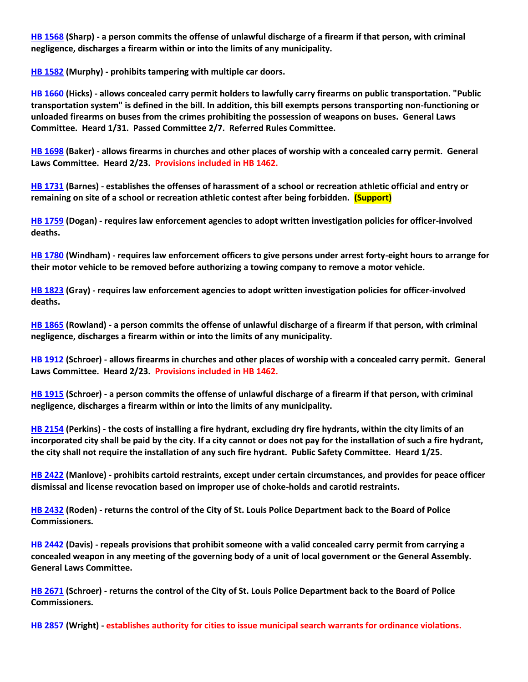**[HB 1568](https://house.mo.gov/Bill.aspx?bill=HB1568&year=2022&code=R) (Sharp) - a person commits the offense of unlawful discharge of a firearm if that person, with criminal negligence, discharges a firearm within or into the limits of any municipality.**

**[HB 1582](https://house.mo.gov/Bill.aspx?bill=HB1582&year=2022&code=R) (Murphy) - prohibits tampering with multiple car doors.**

**[HB 1660](https://house.mo.gov/Bill.aspx?bill=HB1660&year=2022&code=R) (Hicks) - allows concealed carry permit holders to lawfully carry firearms on public transportation. "Public transportation system" is defined in the bill. In addition, this bill exempts persons transporting non-functioning or unloaded firearms on buses from the crimes prohibiting the possession of weapons on buses. General Laws Committee. Heard 1/31. Passed Committee 2/7. Referred Rules Committee.**

**[HB 1698](https://house.mo.gov/Bill.aspx?bill=HB1698&year=2022&code=R) (Baker) - allows firearms in churches and other places of worship with a concealed carry permit. General Laws Committee. Heard 2/23. Provisions included in HB 1462.**

**[HB 1731](https://house.mo.gov/Bill.aspx?bill=HB1731&year=2022&code=R) (Barnes) - establishes the offenses of harassment of a school or recreation athletic official and entry or remaining on site of a school or recreation athletic contest after being forbidden. (Support)**

**[HB 1759](https://house.mo.gov/Bill.aspx?bill=HB1759&year=2022&code=R) (Dogan) - requires law enforcement agencies to adopt written investigation policies for officer-involved deaths.**

**[HB 1780](https://house.mo.gov/Bill.aspx?bill=HB1780&year=2022&code=R) (Windham) - requires law enforcement officers to give persons under arrest forty-eight hours to arrange for their motor vehicle to be removed before authorizing a towing company to remove a motor vehicle.**

**[HB 1823](https://house.mo.gov/Bill.aspx?bill=HB1823&year=2022&code=R) (Gray) - requires law enforcement agencies to adopt written investigation policies for officer-involved deaths.**

**[HB 1865](https://house.mo.gov/Bill.aspx?bill=HB1865&year=2022&code=R) (Rowland) - a person commits the offense of unlawful discharge of a firearm if that person, with criminal negligence, discharges a firearm within or into the limits of any municipality.**

**[HB 1912](https://house.mo.gov/Bill.aspx?bill=HB1912&year=2022&code=R) (Schroer) - allows firearms in churches and other places of worship with a concealed carry permit. General Laws Committee. Heard 2/23. Provisions included in HB 1462.**

**[HB 1915](https://house.mo.gov/Bill.aspx?bill=HB1915&year=2022&code=R) (Schroer) - a person commits the offense of unlawful discharge of a firearm if that person, with criminal negligence, discharges a firearm within or into the limits of any municipality.**

**[HB 2154](https://house.mo.gov/Bill.aspx?bill=HB2154&year=2022&code=R) (Perkins) - the costs of installing a fire hydrant, excluding dry fire hydrants, within the city limits of an incorporated city shall be paid by the city. If a city cannot or does not pay for the installation of such a fire hydrant, the city shall not require the installation of any such fire hydrant. Public Safety Committee. Heard 1/25.**

**[HB 2422](https://house.mo.gov/Bill.aspx?bill=HB2422&year=2022&code=R) (Manlove) - prohibits cartoid restraints, except under certain circumstances, and provides for peace officer dismissal and license revocation based on improper use of choke-holds and carotid restraints.**

**[HB 2432](https://house.mo.gov/Bill.aspx?bill=HB2432&year=2022&code=R) (Roden) - returns the control of the City of St. Louis Police Department back to the Board of Police Commissioners.**

**[HB 2442](https://www.house.mo.gov/Bill.aspx?bill=HB2442&year=2022&code=R) (Davis) - repeals provisions that prohibit someone with a valid concealed carry permit from carrying a concealed weapon in any meeting of the governing body of a unit of local government or the General Assembly. General Laws Committee.** 

**[HB 2671](https://www.house.mo.gov/Bill.aspx?bill=HB2671&year=2022&code=R) (Schroer) - returns the control of the City of St. Louis Police Department back to the Board of Police Commissioners.**

**[HB 2857](https://www.house.mo.gov/Bill.aspx?bill=HB2857&year=2022&code=R) (Wright) - establishes authority for cities to issue municipal search warrants for ordinance violations.**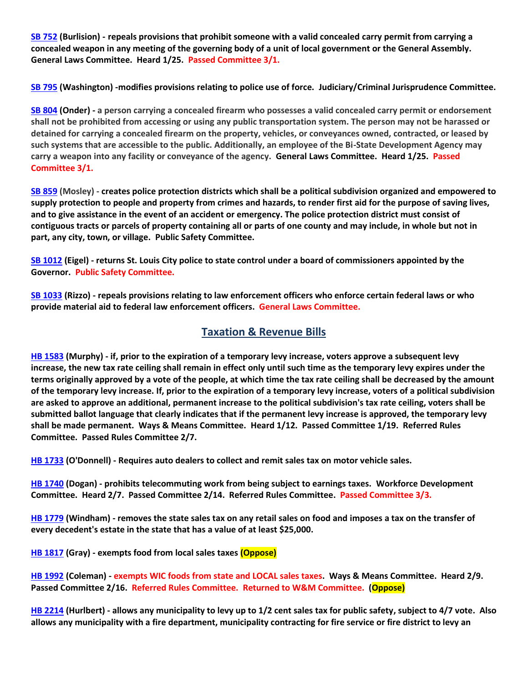**[SB 752](https://www.senate.mo.gov/22info/BTS_Web/Bill.aspx?SessionType=R&BillID=71259697) (Burlision) - repeals provisions that prohibit someone with a valid concealed carry permit from carrying a concealed weapon in any meeting of the governing body of a unit of local government or the General Assembly. General Laws Committee. Heard 1/25. Passed Committee 3/1.**

**[SB 795](https://www.senate.mo.gov/22info/BTS_Web/Bill.aspx?SessionType=R&BillID=71259650) (Washington) -modifies provisions relating to police use of force. Judiciary/Criminal Jurisprudence Committee.**

**[SB 804](https://www.senate.mo.gov/22info/BTS_Web/Bill.aspx?SessionType=R&BillID=71263286) (Onder) - a person carrying a concealed firearm who possesses a valid concealed carry permit or endorsement shall not be prohibited from accessing or using any public transportation system. The person may not be harassed or detained for carrying a concealed firearm on the property, vehicles, or conveyances owned, contracted, or leased by such systems that are accessible to the public. Additionally, an employee of the Bi-State Development Agency may carry a weapon into any facility or conveyance of the agency. General Laws Committee. Heard 1/25. Passed Committee 3/1.**

**[SB 859](https://www.senate.mo.gov/22info/BTS_Web/Bill.aspx?SessionType=R&BillID=71259622) (Mosley) - creates police protection districts which shall be a political subdivision organized and empowered to supply protection to people and property from crimes and hazards, to render first aid for the purpose of saving lives, and to give assistance in the event of an accident or emergency. The police protection district must consist of contiguous tracts or parcels of property containing all or parts of one county and may include, in whole but not in part, any city, town, or village. Public Safety Committee.**

**[SB 1012](https://www.senate.mo.gov/22info/BTS_Web/Bill.aspx?SessionType=R&BillID=72392417) (Eigel) - returns St. Louis City police to state control under a board of commissioners appointed by the Governor. Public Safety Committee.**

**[SB 1033](https://www.senate.mo.gov/22info/BTS_Web/Bill.aspx?SessionType=R&BillID=72748800) (Rizzo) - repeals provisions relating to law enforcement officers who enforce certain federal laws or who provide material aid to federal law enforcement officers. General Laws Committee.**

## **Taxation & Revenue Bills**

**[HB 1583](https://house.mo.gov/Bill.aspx?bill=HB1583&year=2022&code=R) (Murphy) - if, prior to the expiration of a temporary levy increase, voters approve a subsequent levy increase, the new tax rate ceiling shall remain in effect only until such time as the temporary levy expires under the terms originally approved by a vote of the people, at which time the tax rate ceiling shall be decreased by the amount of the temporary levy increase. If, prior to the expiration of a temporary levy increase, voters of a political subdivision are asked to approve an additional, permanent increase to the political subdivision's tax rate ceiling, voters shall be submitted ballot language that clearly indicates that if the permanent levy increase is approved, the temporary levy shall be made permanent. Ways & Means Committee. Heard 1/12. Passed Committee 1/19. Referred Rules Committee. Passed Rules Committee 2/7.**

**[HB 1733](https://house.mo.gov/Bill.aspx?bill=HB1733&year=2022&code=R) (O'Donnell) - Requires auto dealers to collect and remit sales tax on motor vehicle sales.**

**[HB 1740](https://house.mo.gov/Bill.aspx?bill=HB1740&year=2022&code=R) (Dogan) - prohibits telecommuting work from being subject to earnings taxes. Workforce Development Committee. Heard 2/7. Passed Committee 2/14. Referred Rules Committee. Passed Committee 3/3.**

**[HB 1779](https://house.mo.gov/Bill.aspx?bill=HB1779&year=2022&code=R) (Windham) - removes the state sales tax on any retail sales on food and imposes a tax on the transfer of every decedent's estate in the state that has a value of at least \$25,000.**

**[HB 1817](https://house.mo.gov/Bill.aspx?bill=HB1817&year=2022&code=R) (Gray) - exempts food from local sales taxes (Oppose)**

**[HB 1992](https://house.mo.gov/Bill.aspx?bill=HB1992&year=2022&code=R) (Coleman) - exempts WIC foods from state and LOCAL sales taxes. Ways & Means Committee. Heard 2/9. Passed Committee 2/16. Referred Rules Committee. Returned to W&M Committee. (Oppose)**

**[HB 2214](https://house.mo.gov/Bill.aspx?bill=HB2214&year=2022&code=R) (Hurlbert) - allows any municipality to levy up to 1/2 cent sales tax for public safety, subject to 4/7 vote. Also allows any municipality with a fire department, municipality contracting for fire service or fire district to levy an**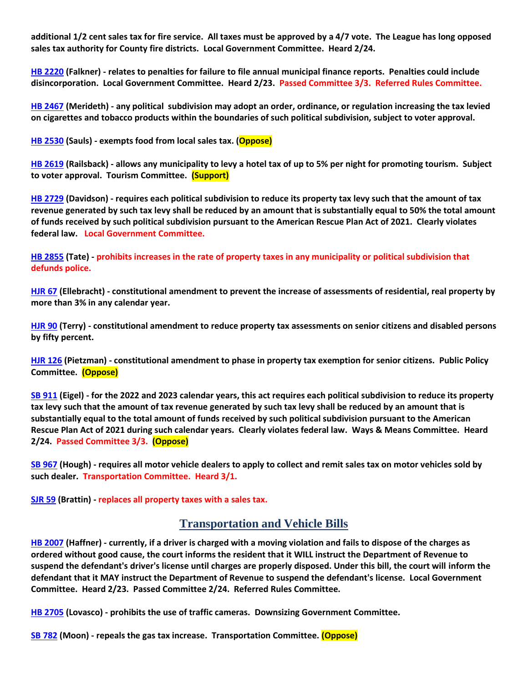**additional 1/2 cent sales tax for fire service. All taxes must be approved by a 4/7 vote. The League has long opposed sales tax authority for County fire districts. Local Government Committee. Heard 2/24.**

**[HB 2220](https://house.mo.gov/Bill.aspx?bill=HB2220&year=2022&code=R) (Falkner) - relates to penalties for failure to file annual municipal finance reports. Penalties could include disincorporation. Local Government Committee. Heard 2/23. Passed Committee 3/3. Referred Rules Committee.**

**[HB 2467](https://house.mo.gov/Bill.aspx?bill=HB2467&year=2022&code=R) (Merideth) - any political subdivision may adopt an order, ordinance, or regulation increasing the tax levied on cigarettes and tobacco products within the boundaries of such political subdivision, subject to voter approval.**

**[HB 2530](https://www.house.mo.gov/Bill.aspx?bill=HB2530&year=2022&code=R) (Sauls) - exempts food from local sales tax. (Oppose)**

**[HB 2619](https://www.house.mo.gov/Bill.aspx?bill=HB2619&year=2022&code=R) (Railsback) - allows any municipality to levy a hotel tax of up to 5% per night for promoting tourism. Subject to voter approval. Tourism Committee. (Support)**

**[HB 2729](https://www.house.mo.gov/Bill.aspx?bill=HB2729&year=2022&code=R) (Davidson) - requires each political subdivision to reduce its property tax levy such that the amount of tax revenue generated by such tax levy shall be reduced by an amount that is substantially equal to 50% the total amount of funds received by such political subdivision pursuant to the American Rescue Plan Act of 2021. Clearly violates federal law. Local Government Committee.**

**[HB 2855](https://www.house.mo.gov/Bill.aspx?bill=HB2855&year=2022&code=R) (Tate) - prohibits increases in the rate of property taxes in any municipality or political subdivision that defunds police.**

**[HJR 67](https://house.mo.gov/Bill.aspx?bill=HJR67&year=2022&code=R) (Ellebracht) - constitutional amendment to prevent the increase of assessments of residential, real property by more than 3% in any calendar year.**

**[HJR 90](https://house.mo.gov/Bill.aspx?bill=HJR90&year=2022&code=R) (Terry) - constitutional amendment to reduce property tax assessments on senior citizens and disabled persons by fifty percent.**

**[HJR 126](https://www.house.mo.gov/Bill.aspx?bill=HJR126&year=2022&code=R) (Pietzman) - constitutional amendment to phase in property tax exemption for senior citizens. Public Policy Committee. (Oppose)**

**[SB 911](https://www.senate.mo.gov/22info/BTS_Web/Bill.aspx?SessionType=R&BillID=71259794) (Eigel) - for the 2022 and 2023 calendar years, this act requires each political subdivision to reduce its property tax levy such that the amount of tax revenue generated by such tax levy shall be reduced by an amount that is substantially equal to the total amount of funds received by such political subdivision pursuant to the American Rescue Plan Act of 2021 during such calendar years. Clearly violates federal law. Ways & Means Committee. Heard 2/24. Passed Committee 3/3. (Oppose)**

**[SB 967](https://www.senate.mo.gov/22info/BTS_Web/Bill.aspx?SessionType=R&BillID=71406282) (Hough) - requires all motor vehicle dealers to apply to collect and remit sales tax on motor vehicles sold by such dealer. Transportation Committee. Heard 3/1.**

**[SJR 59](https://www.senate.mo.gov/22info/BTS_Web/Bill.aspx?SessionType=R&BillID=77307107) (Brattin) - replaces all property taxes with a sales tax.**

### **Transportation and Vehicle Bills**

**[HB 2007](https://house.mo.gov/Bill.aspx?bill=HB2007&year=2022&code=R) (Haffner) - currently, if a driver is charged with a moving violation and fails to dispose of the charges as ordered without good cause, the court informs the resident that it WILL instruct the Department of Revenue to suspend the defendant's driver's license until charges are properly disposed. Under this bill, the court will inform the defendant that it MAY instruct the Department of Revenue to suspend the defendant's license. Local Government Committee. Heard 2/23. Passed Committee 2/24. Referred Rules Committee.**

**[HB 2705](https://www.house.mo.gov/Bill.aspx?bill=HB2705&year=2022&code=R) (Lovasco) - prohibits the use of traffic cameras. Downsizing Government Committee.**

**[SB 782](https://www.senate.mo.gov/22info/BTS_Web/Bill.aspx?SessionType=R&BillID=71259873) (Moon) - repeals the gas tax increase. Transportation Committee. (Oppose)**